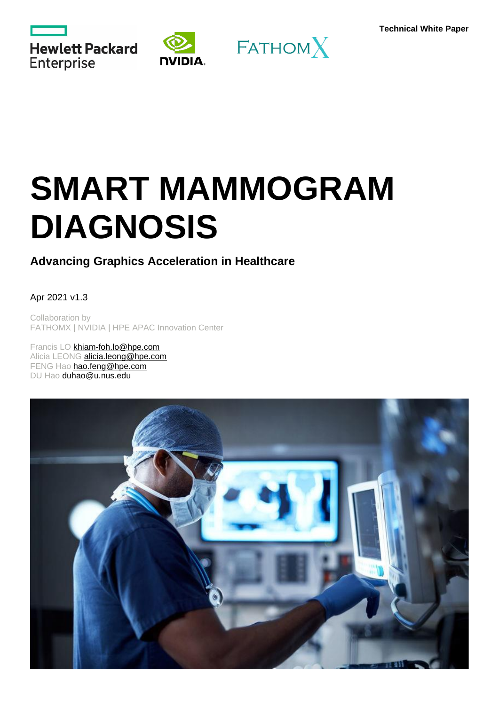





# **SMART MAMMOGRAM DIAGNOSIS**

## <span id="page-0-0"></span>**Advancing Graphics Acceleration in Healthcare**

#### Apr 2021 v1.3

Collaboration by FATHOMX | NVIDIA | HPE APAC Innovation Center

Francis LO [khiam-foh.lo@hpe.com](mailto:khiam-foh.lo@hpe.com) Alicia LEONG [alicia.leong@hpe.com](mailto:alicia.leong@hpe.com) FENG Hao [hao.feng@hpe.com](mailto:hao.feng@hpe.com) DU Hao [duhao@u.nus.edu](mailto:duhao@u.nus.edu)

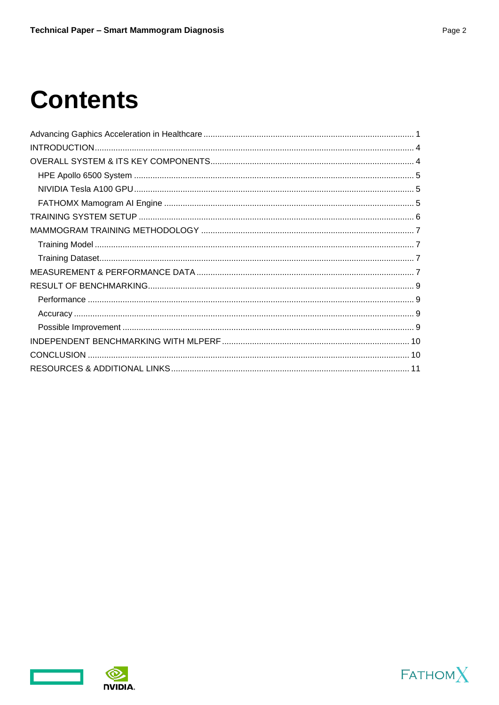## **Contents**





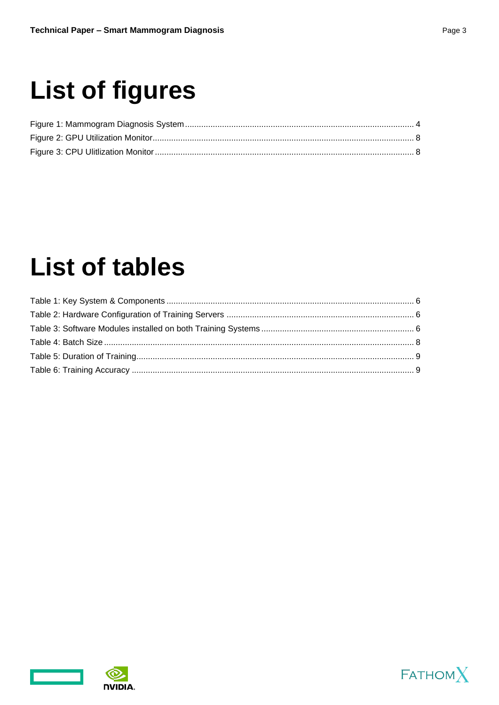## **List of figures**

## **List of tables**



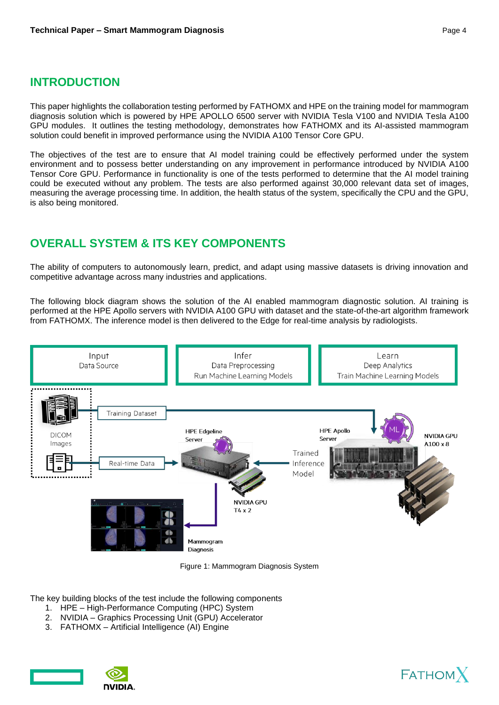### <span id="page-3-0"></span>**INTRODUCTION**

This paper highlights the collaboration testing performed by FATHOMX and HPE on the training model for mammogram diagnosis solution which is powered by HPE APOLLO 6500 server with NVIDIA Tesla V100 and NVIDIA Tesla A100 GPU modules. It outlines the testing methodology, demonstrates how FATHOMX and its AI-assisted mammogram solution could benefit in improved performance using the NVIDIA A100 Tensor Core GPU.

The objectives of the test are to ensure that AI model training could be effectively performed under the system environment and to possess better understanding on any improvement in performance introduced by NVIDIA A100 Tensor Core GPU. Performance in functionality is one of the tests performed to determine that the AI model training could be executed without any problem. The tests are also performed against 30,000 relevant data set of images, measuring the average processing time. In addition, the health status of the system, specifically the CPU and the GPU, is also being monitored.

## <span id="page-3-1"></span>**OVERALL SYSTEM & ITS KEY COMPONENTS**

The ability of computers to autonomously learn, predict, and adapt using massive datasets is driving innovation and competitive advantage across many industries and applications.

The following block diagram shows the solution of the AI enabled mammogram diagnostic solution. AI training is performed at the HPE Apollo servers with NVIDIA A100 GPU with dataset and the state-of-the-art algorithm framework from FATHOMX. The inference model is then delivered to the Edge for real-time analysis by radiologists.



Figure 1: Mammogram Diagnosis System

<span id="page-3-2"></span>The key building blocks of the test include the following components

- 1. HPE High-Performance Computing (HPC) System
- 2. NVIDIA Graphics Processing Unit (GPU) Accelerator
- 3. FATHOMX Artificial Intelligence (AI) Engine





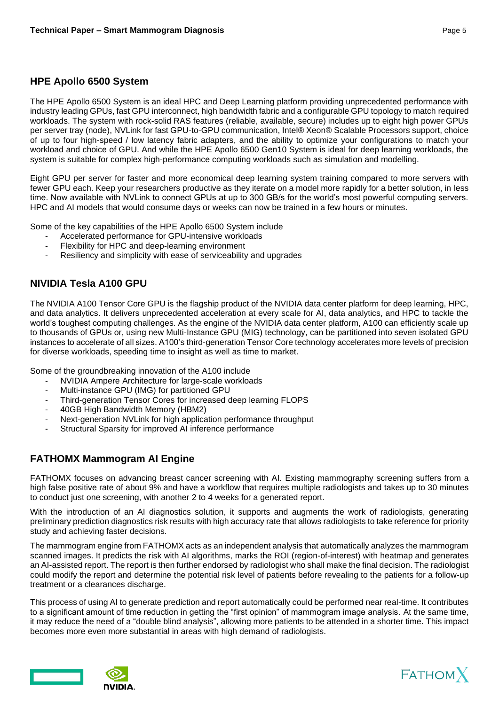#### <span id="page-4-0"></span>**HPE Apollo 6500 System**

The HPE Apollo 6500 System is an ideal HPC and Deep Learning platform providing unprecedented performance with industry leading GPUs, fast GPU interconnect, high bandwidth fabric and a configurable GPU topology to match required workloads. The system with rock-solid RAS features (reliable, available, secure) includes up to eight high power GPUs per server tray (node), NVLink for fast GPU-to-GPU communication, Intel® Xeon® Scalable Processors support, choice of up to four high-speed / low latency fabric adapters, and the ability to optimize your configurations to match your workload and choice of GPU. And while the HPE Apollo 6500 Gen10 System is ideal for deep learning workloads, the system is suitable for complex high-performance computing workloads such as simulation and modelling.

Eight GPU per server for faster and more economical deep learning system training compared to more servers with fewer GPU each. Keep your researchers productive as they iterate on a model more rapidly for a better solution, in less time. Now available with NVLink to connect GPUs at up to 300 GB/s for the world's most powerful computing servers. HPC and AI models that would consume days or weeks can now be trained in a few hours or minutes.

Some of the key capabilities of the HPE Apollo 6500 System include

- Accelerated performance for GPU-intensive workloads
- Flexibility for HPC and deep-learning environment
- Resiliency and simplicity with ease of serviceability and upgrades

#### <span id="page-4-1"></span>**NIVIDIA Tesla A100 GPU**

The NVIDIA A100 Tensor Core GPU is the flagship product of the NVIDIA data center platform for deep learning, HPC, and data analytics. It delivers unprecedented acceleration at every scale for AI, data analytics, and HPC to tackle the world's toughest computing challenges. As the engine of the NVIDIA data center platform, A100 can efficiently scale up to thousands of GPUs or, using new Multi-Instance GPU (MIG) technology, can be partitioned into seven isolated GPU instances to accelerate of all sizes. A100's third-generation Tensor Core technology accelerates more levels of precision for diverse workloads, speeding time to insight as well as time to market.

Some of the groundbreaking innovation of the A100 include

- NVIDIA Ampere Architecture for large-scale workloads
- Multi-instance GPU (IMG) for partitioned GPU
- Third-generation Tensor Cores for increased deep learning FLOPS
- 40GB High Bandwidth Memory (HBM2)
- Next-generation NVLink for high application performance throughput
- Structural Sparsity for improved AI inference performance

#### <span id="page-4-2"></span>**FATHOMX Mammogram AI Engine**

FATHOMX focuses on advancing breast cancer screening with AI. Existing mammography screening suffers from a high false positive rate of about 9% and have a workflow that requires multiple radiologists and takes up to 30 minutes to conduct just one screening, with another 2 to 4 weeks for a generated report.

With the introduction of an AI diagnostics solution, it supports and augments the work of radiologists, generating preliminary prediction diagnostics risk results with high accuracy rate that allows radiologists to take reference for priority study and achieving faster decisions.

The mammogram engine from FATHOMX acts as an independent analysis that automatically analyzes the mammogram scanned images. It predicts the risk with AI algorithms, marks the ROI (region-of-interest) with heatmap and generates an AI-assisted report. The report is then further endorsed by radiologist who shall make the final decision. The radiologist could modify the report and determine the potential risk level of patients before revealing to the patients for a follow-up treatment or a clearances discharge.

This process of using AI to generate prediction and report automatically could be performed near real-time. It contributes to a significant amount of time reduction in getting the "first opinion" of mammogram image analysis. At the same time, it may reduce the need of a "double blind analysis", allowing more patients to be attended in a shorter time. This impact becomes more even more substantial in areas with high demand of radiologists.



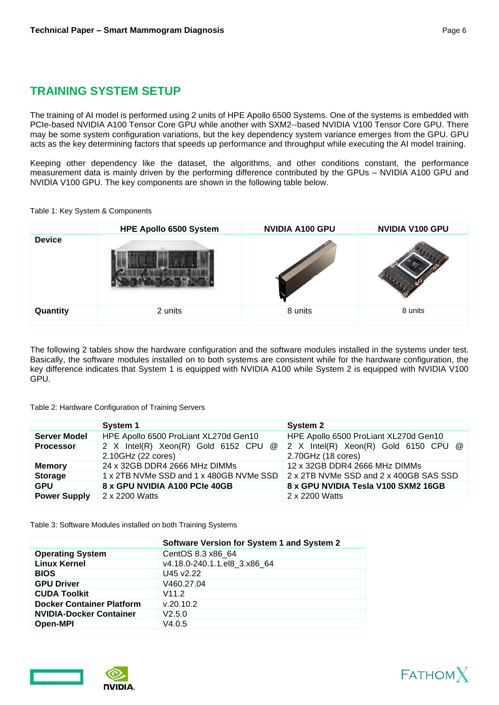## <span id="page-5-0"></span>**TRAINING SYSTEM SETUP**

The training of AI model is performed using 2 units of HPE Apollo 6500 Systems. One of the systems is embedded with PCIe-based NVIDIA A100 Tensor Core GPU while another with SXM2--based NVIDIA V100 Tensor Core GPU. There may be some system configuration variations, but the key dependency system variance emerges from the GPU. GPU acts as the key determining factors that speeds up performance and throughput while executing the AI model training.

Keeping other dependency like the dataset, the algorithms, and other conditions constant, the performance measurement data is mainly driven by the performing difference contributed by the GPUs – NVIDIA A100 GPU and NVIDIA V100 GPU. The key components are shown in the following table below.

#### <span id="page-5-1"></span>Table 1: Key System & Components

|               | HPE Apollo 6500 System | <b>NVIDIA A100 GPU</b> | NVIDIA V100 GPU |
|---------------|------------------------|------------------------|-----------------|
| <b>Device</b> |                        |                        |                 |
| Quantity      | 2 units                | 8 units                | 8 units         |

The following 2 tables show the hardware configuration and the software modules installed in the systems under test. Basically, the software modules installed on to both systems are consistent while for the hardware configuration, the key difference indicates that System 1 is equipped with NVIDIA A100 while System 2 is equipped with NVIDIA V100 GPU.

#### <span id="page-5-2"></span>Table 2: Hardware Configuration of Training Servers

|                     | System 1                                                   | System 2                                                                       |  |
|---------------------|------------------------------------------------------------|--------------------------------------------------------------------------------|--|
| <b>Server Model</b> | HPE Apollo 6500 ProLiant XL270d Gen10                      | HPE Apollo 6500 ProLiant XL270d Gen10                                          |  |
| <b>Processor</b>    | 2 X Intel(R) Xeon(R) Gold 6152 CPU @<br>2.10GHz (22 cores) | $\vert$ 2 X Intel(R) Xeon(R) Gold 6150 CPU $\omega$<br>2.70GHz (18 cores)      |  |
| <b>Memory</b>       | 24 x 32GB DDR4 2666 MHz DIMMs                              | 12 x 32GB DDR4 2666 MHz DIMMs                                                  |  |
| <b>Storage</b>      |                                                            | 1 x 2TB NVMe SSD and 1 x 480GB NVMe SSD 2 x 2TB NVMe SSD and 2 x 400GB SAS SSD |  |
| <b>GPU</b>          | 8 x GPU NVIDIA A100 PCIe 40GB                              | 8 x GPU NVIDIA Tesla V100 SXM2 16GB                                            |  |
| <b>Power Supply</b> | 2 x 2200 Watts                                             | 2 x 2200 Watts                                                                 |  |

<span id="page-5-3"></span>Table 3: Software Modules installed on both Training Systems

|                                  | Software Version for System 1 and System 2 |  |  |
|----------------------------------|--------------------------------------------|--|--|
| <b>Operating System</b>          | CentOS 8.3 x86 64                          |  |  |
| <b>Linux Kernel</b>              | v4.18.0-240.1.1.el8 3.x86 64               |  |  |
| <b>BIOS</b>                      | U45 v2.22                                  |  |  |
| <b>GPU Driver</b>                | V460.27.04                                 |  |  |
| <b>CUDA Toolkit</b>              | V11.2                                      |  |  |
| <b>Docker Container Platform</b> | v.20.10.2                                  |  |  |
| <b>NVIDIA-Docker Container</b>   | V2.5.0                                     |  |  |
| <b>Open-MPI</b>                  | V4.0.5                                     |  |  |





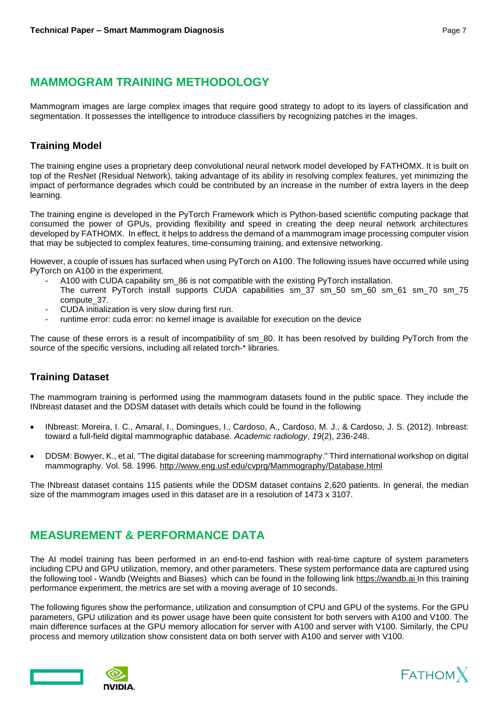## <span id="page-6-0"></span>**MAMMOGRAM TRAINING METHODOLOGY**

Mammogram images are large complex images that require good strategy to adopt to its layers of classification and segmentation. It possesses the intelligence to introduce classifiers by recognizing patches in the images.

#### <span id="page-6-1"></span>**Training Model**

The training engine uses a proprietary deep convolutional neural network model developed by FATHOMX. It is built on top of the ResNet (Residual Network), taking advantage of its ability in resolving complex features, yet minimizing the impact of performance degrades which could be contributed by an increase in the number of extra layers in the deep learning.

The training engine is developed in the PyTorch Framework which is Python-based scientific computing package that consumed the power of GPUs, providing flexibility and speed in creating the deep neural network architectures developed by FATHOMX. In effect, it helps to address the demand of a mammogram image processing computer vision that may be subjected to complex features, time-consuming training, and extensive networking.

However, a couple of issues has surfaced when using PyTorch on A100. The following issues have occurred while using PyTorch on A100 in the experiment.

- A100 with CUDA capability sm  $86$  is not compatible with the existing PyTorch installation. The current PyTorch install supports CUDA capabilities sm\_37 sm\_50 sm\_60 sm\_61 sm\_70 sm\_75 compute\_37.
- CUDA initialization is very slow during first run.
- runtime error: cuda error: no kernel image is available for execution on the device

The cause of these errors is a result of incompatibility of sm 80. It has been resolved by building PyTorch from the source of the specific versions, including all related torch-\* libraries.

### <span id="page-6-2"></span>**Training Dataset**

The mammogram training is performed using the mammogram datasets found in the public space. They include the INbreast dataset and the DDSM dataset with details which could be found in the following

- INbreast: Moreira, I. C., Amaral, I., Domingues, I., Cardoso, A., Cardoso, M. J., & Cardoso, J. S. (2012). Inbreast: toward a full-field digital mammographic database. *Academic radiology*, *19*(2), 236-248.
- DDSM: Bowyer, K., et al. "The digital database for screening mammography." Third international workshop on digital mammography. Vol. 58. 1996. [http://www.eng.usf.edu/cvprg/Mammography/Database.html](https://urldefense.proofpoint.com/v2/url?u=http-3A__www.eng.usf.edu_cvprg_Mammography_Database.html&d=DwMFAg&c=C5b8zRQO1miGmBeVZ2LFWg&r=i2elkS6ndob-Bcw4QgZ7fOVX_M2pGiwzK1VqCx4TGP0&m=7J_lCRHAe7unZgzFkaBNpYAZNp9I5544iMr1x6V_XTY&s=UAf6KnISiNU5PIpcB1gpVIVsNjQTPNQNgVyZURqWFRo&e=)

The INbreast dataset contains 115 patients while the DDSM dataset contains 2,620 patients. In general, the median size of the mammogram images used in this dataset are in a resolution of 1473 x 3107.

## <span id="page-6-3"></span>**MEASUREMENT & PERFORMANCE DATA**

The AI model training has been performed in an end-to-end fashion with real-time capture of system parameters including CPU and GPU utilization, memory, and other parameters. These system performance data are captured using the following tool - Wandb (Weights and Biases) which can be found in the following link [https://wandb.ai](https://urldefense.proofpoint.com/v2/url?u=https-3A__wandb.ai&d=DwMFAg&c=C5b8zRQO1miGmBeVZ2LFWg&r=i2elkS6ndob-Bcw4QgZ7fOVX_M2pGiwzK1VqCx4TGP0&m=7J_lCRHAe7unZgzFkaBNpYAZNp9I5544iMr1x6V_XTY&s=KPRYTMvcigtbEpT6MJK5g_TzDlL1uaTvMFvI069AXjk&e=) In this training performance experiment, the metrics are set with a moving average of 10 seconds.

The following figures show the performance, utilization and consumption of CPU and GPU of the systems. For the GPU parameters, GPU utilization and its power usage have been quite consistent for both servers with A100 and V100. The main difference surfaces at the GPU memory allocation for server with A100 and server with V100. Similarly, the CPU process and memory utilization show consistent data on both server with A100 and server with V100.



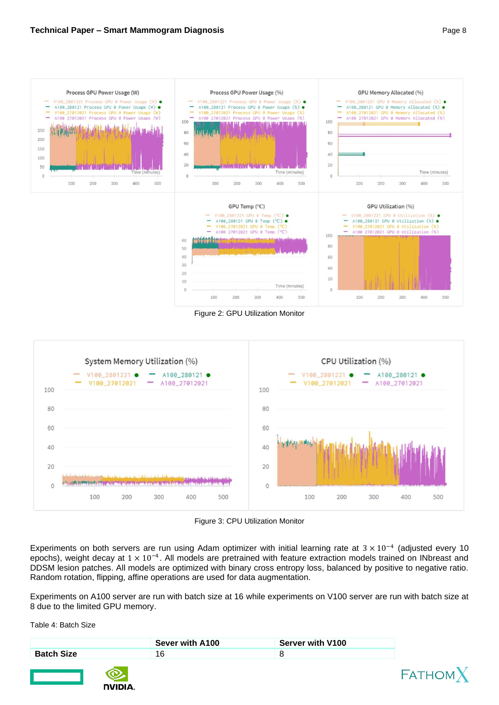

Figure 2: GPU Utilization Monitor

300

400

500

100

200

300

400

500

200

100

<span id="page-7-0"></span>

Figure 3: CPU Utilization Monitor

<span id="page-7-1"></span>Experiments on both servers are run using Adam optimizer with initial learning rate at  $3 \times 10^{-4}$  (adjusted every 10 epochs), weight decay at  $1 \times 10^{-4}$ . All models are pretrained with feature extraction models trained on INbreast and DDSM lesion patches. All models are optimized with binary cross entropy loss, balanced by positive to negative ratio. Random rotation, flipping, affine operations are used for data augmentation.

Experiments on A100 server are run with batch size at 16 while experiments on V100 server are run with batch size at 8 due to the limited GPU memory.

<span id="page-7-2"></span>Table 4: Batch Size

|                   |              | Sever with A100 | <b>Server with V100</b> |         |
|-------------------|--------------|-----------------|-------------------------|---------|
| <b>Batch Size</b> |              | 16              |                         |         |
|                   | <b>NUDIA</b> |                 |                         | FATHOMX |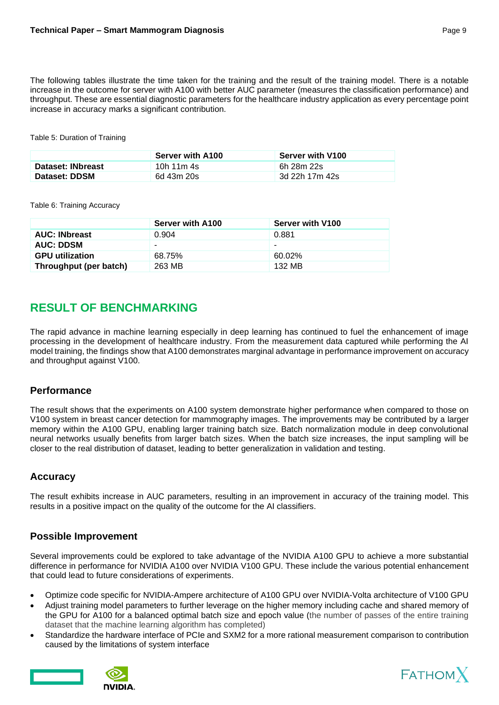The following tables illustrate the time taken for the training and the result of the training model. There is a notable increase in the outcome for server with A100 with better AUC parameter (measures the classification performance) and throughput. These are essential diagnostic parameters for the healthcare industry application as every percentage point increase in accuracy marks a significant contribution.

#### <span id="page-8-4"></span>Table 5: Duration of Training

|                   | <b>Server with A100</b> | <b>Server with V100</b> |
|-------------------|-------------------------|-------------------------|
| Dataset: INbreast | 10h 11m 4s              | 6h 28m 22s              |
| Dataset: DDSM     | 6d 43m 20s              | 3d 22h 17m 42s          |

#### <span id="page-8-5"></span>Table 6: Training Accuracy

|                        | Server with A100 | Server with V100 |
|------------------------|------------------|------------------|
| <b>AUC: INbreast</b>   | 0.904            | 0.881            |
| <b>AUC: DDSM</b>       | -                |                  |
| <b>GPU</b> utilization | 68.75%           | 60.02%           |
| Throughput (per batch) | 263 MB           | 132 MB           |

## <span id="page-8-0"></span>**RESULT OF BENCHMARKING**

The rapid advance in machine learning especially in deep learning has continued to fuel the enhancement of image processing in the development of healthcare industry. From the measurement data captured while performing the AI model training, the findings show that A100 demonstrates marginal advantage in performance improvement on accuracy and throughput against V100.

#### <span id="page-8-1"></span>**Performance**

The result shows that the experiments on A100 system demonstrate higher performance when compared to those on V100 system in breast cancer detection for mammography images. The improvements may be contributed by a larger memory within the A100 GPU, enabling larger training batch size. Batch normalization module in deep convolutional neural networks usually benefits from larger batch sizes. When the batch size increases, the input sampling will be closer to the real distribution of dataset, leading to better generalization in validation and testing.

#### <span id="page-8-2"></span>**Accuracy**

The result exhibits increase in AUC parameters, resulting in an improvement in accuracy of the training model. This results in a positive impact on the quality of the outcome for the AI classifiers.

#### <span id="page-8-3"></span>**Possible Improvement**

Several improvements could be explored to take advantage of the NVIDIA A100 GPU to achieve a more substantial difference in performance for NVIDIA A100 over NVIDIA V100 GPU. These include the various potential enhancement that could lead to future considerations of experiments.

- Optimize code specific for NVIDIA-Ampere architecture of A100 GPU over NVIDIA-Volta architecture of V100 GPU
- Adjust training model parameters to further leverage on the higher memory including cache and shared memory of the GPU for A100 for a balanced optimal batch size and epoch value (the number of passes of the entire training dataset that the machine learning algorithm has completed)
- Standardize the hardware interface of PCIe and SXM2 for a more rational measurement comparison to contribution caused by the limitations of system interface





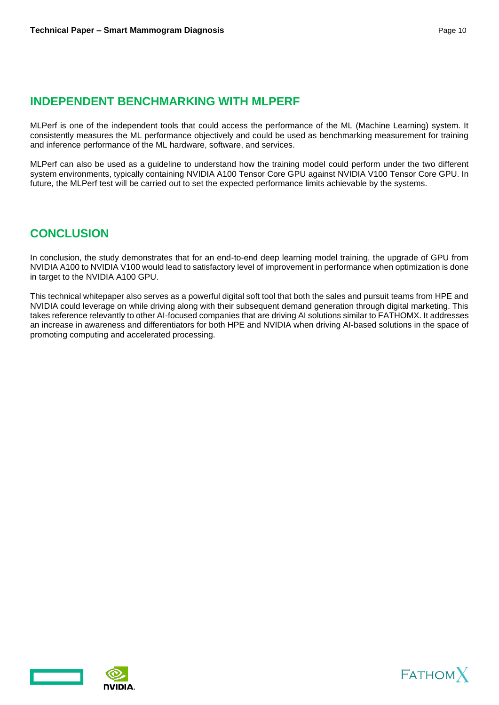## <span id="page-9-0"></span>**INDEPENDENT BENCHMARKING WITH MLPERF**

MLPerf is one of the independent tools that could access the performance of the ML (Machine Learning) system. It consistently measures the ML performance objectively and could be used as benchmarking measurement for training and inference performance of the ML hardware, software, and services.

MLPerf can also be used as a guideline to understand how the training model could perform under the two different system environments, typically containing NVIDIA A100 Tensor Core GPU against NVIDIA V100 Tensor Core GPU. In future, the MLPerf test will be carried out to set the expected performance limits achievable by the systems.

### <span id="page-9-1"></span>**CONCLUSION**

In conclusion, the study demonstrates that for an end-to-end deep learning model training, the upgrade of GPU from NVIDIA A100 to NVIDIA V100 would lead to satisfactory level of improvement in performance when optimization is done in target to the NVIDIA A100 GPU.

This technical whitepaper also serves as a powerful digital soft tool that both the sales and pursuit teams from HPE and NVIDIA could leverage on while driving along with their subsequent demand generation through digital marketing. This takes reference relevantly to other AI-focused companies that are driving AI solutions similar to FATHOMX. It addresses an increase in awareness and differentiators for both HPE and NVIDIA when driving AI-based solutions in the space of promoting computing and accelerated processing.





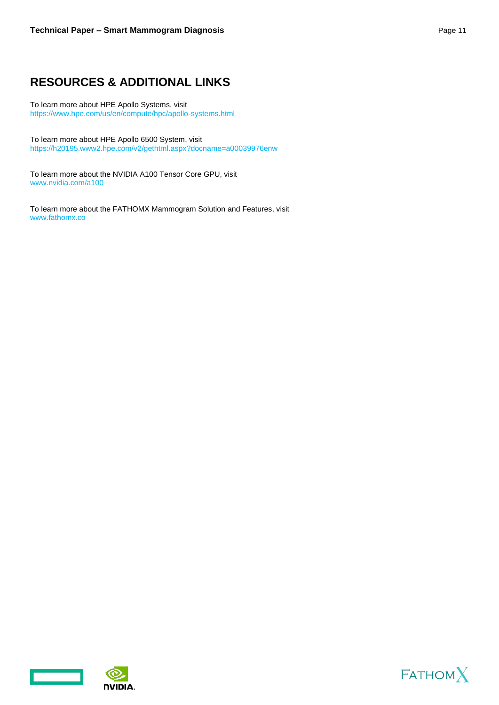## <span id="page-10-0"></span>**RESOURCES & ADDITIONAL LINKS**

To learn more about HPE Apollo Systems, visit <https://www.hpe.com/us/en/compute/hpc/apollo-systems.html>

To learn more about HPE Apollo 6500 System, visit

https://h20195.www2.hpe.com/v2/gethtml.aspx?docname=a00039976enw

To learn more about the NVIDIA A100 Tensor Core GPU, visit [www.nvidia.com/a100](http://www.nvidia.com/a100)

To learn more about the FATHOMX Mammogram Solution and Features, visit [www.fathomx.co](http://www.fathomx.co/)